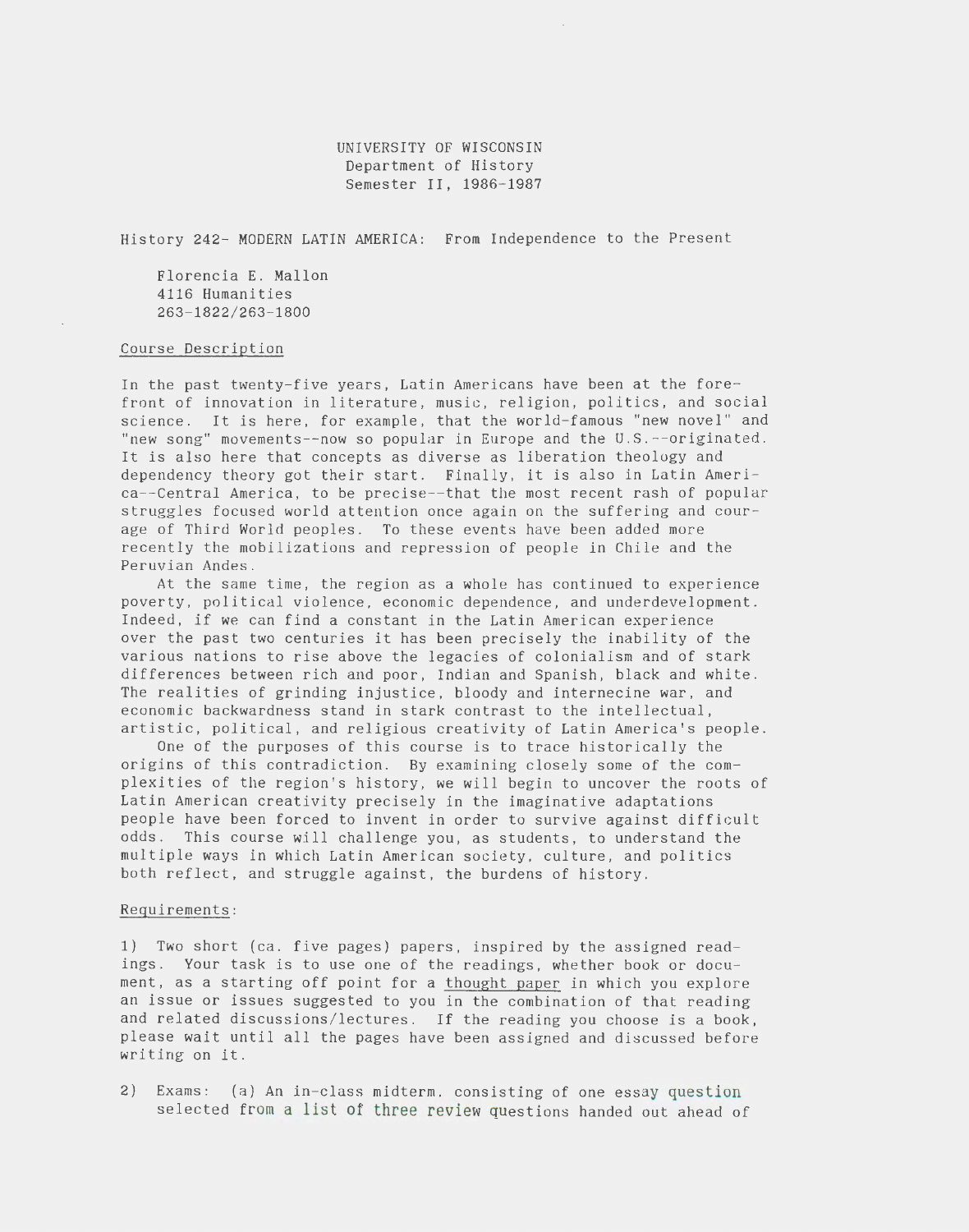## UNIVERSITY OF WISCONSIN Department of History Semester II, 1986-1987

History 242- MODERN LATIN AMERICA: From Independence to the Present

Florencia E. Mallon 4116 Humanities 263-1822/263-1800

## Course Description

In the past twenty-five years, Latin Americans have been at the forefront of innovation in literature, music, religion, politics, and social science. It is here, for example, that the world-famous "new novel" and "new song" movements--now so popular in Europe and the U.S.--originated . It is also here that concepts as diverse as liberation theology and dependency theory got their start. Finally, it is also in Latin America--Central America, to be precise--that the most recent rash of popular struggles focused world attention once again on the suffering and courage of Third World peoples. To these events have been added more recently the mobilizations and repression of people in Chile and the Peruvian Andes.

At the same time, the region as a whole has continued to experience poverty, political violence, economic dependence, and underdevelopment. Indeed, if we can find a constant in the Latin American experience over the past two centuries it has been precisely the inability of the various nations to rise above the legacies of colonialism and of stark differences between rich and poor, Indian and Spanish, black and white . The realities of grinding injustice, bloody and internecine war, and economic backwardness stand in stark contrast to the intellectual, artistic, political, and religious creativity of Latin America's people.

One of the purposes of this course is to trace historically the origins of this contradiction . By examining closely some of the complexities of the region's history, we will begin to uncover the roots of Latin American creativity precisely in the imaginative adaptations people have been forced to invent in order to survive against difficult odds. This course will challenge you, as students, to understand the multiple ways in which Latin American society, culture, and politics both reflect, and struggle against, the burdens of history.

## Requirements:

1) Two short (ca. five pages) papers, inspired by the assigned readings. Your task is to use one of the readings, whether book or document, as a starting off point for a thought paper in which you explore an issue or issues suggested to you in the combination of that reading and related discussions/ lectures. If the reading you choose is a book, please wait until all the pages have been assigned and discussed before writing on it.

2) Exams: (a) An in-class midterm, consisting of one essay question selected from a list of three review questions handed out ahead of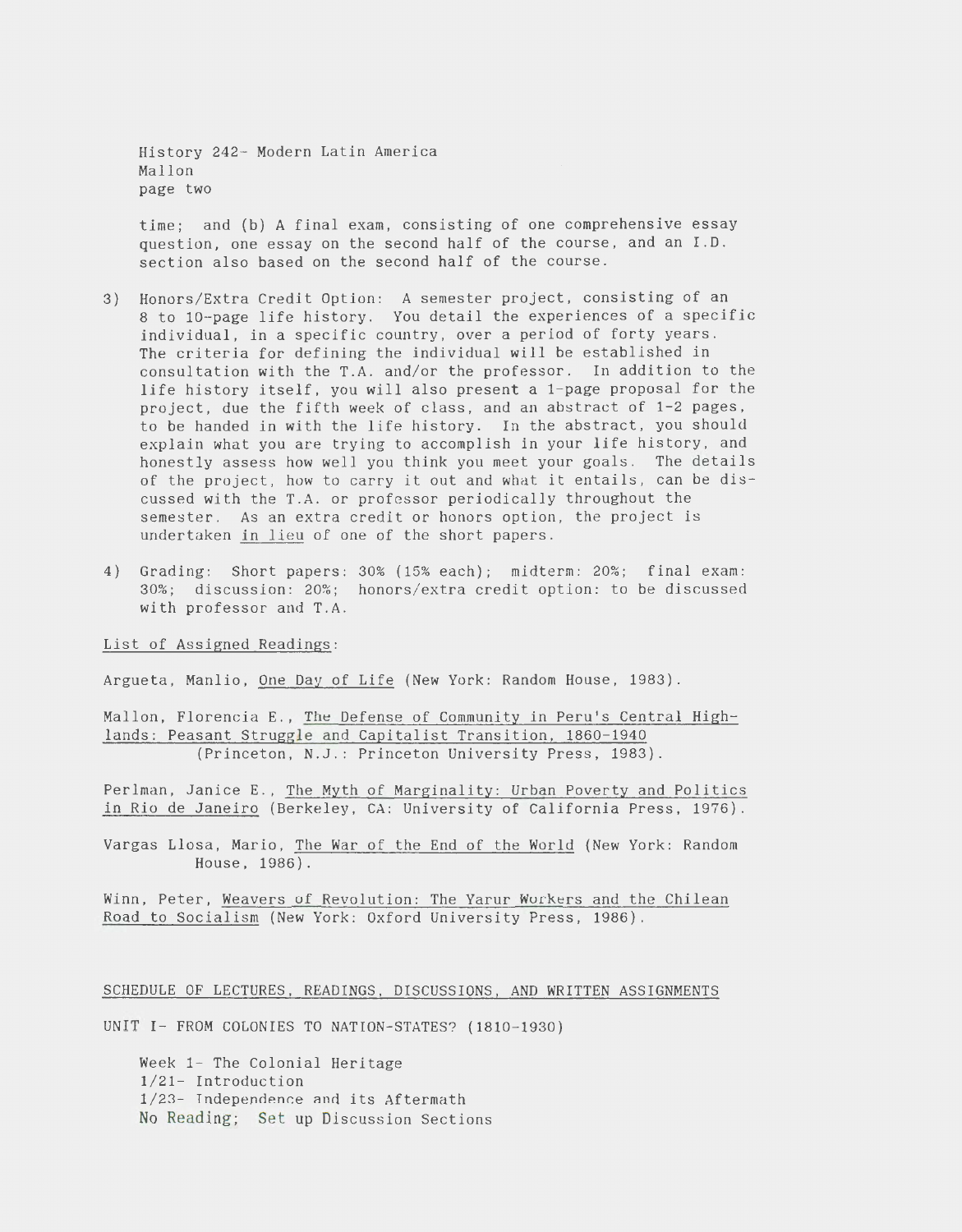History 242- Modern Latin America Mallon page two

time; and (b) A final exam, consisting of one comprehensive essay question, one essay on the second half of the course, and an I.D . section also based on the second half of the course.

- 3) Honors/Extra Credit Option: A semester project, consisting of an 8 to 10-page life history. You detail the experiences of a specific individual, in a specific country, over a period of forty years. The criteria for defining the individual will be established in consultation with the T.A. and/or the professor. In addition to the life history itself, you will also present a 1-page proposal for the project, due the fifth week of class, and an abstract of 1-2 pages, to be handed in with the life history. In the abstract, you should explain what you are trying to accomplish in your life history, and honestly assess how well you think you meet your goals. The details of the project, how to carry it out and what it entails, can be discussed with the T.A. or professor periodically throughout the semester. As an extra credit or honors option, the project is undertaken in lieu of one of the short papers.
- 4) Grading: Short papers: 30% (15% each); midterm: 20%; final exam : 30%; discussion: 20%; honors/extra credit option: to be discussed with professor and T.A.

List of Assigned Readings:

Argueta, Manlio, One Day of Life (New York: Random House, 1983).

Mallon, Florencia E., The Defense of Community in Peru's Central Highlands: Peasant Struggle and Capitalist Transition, 1860-1940 (Princeton, N.J.: Princeton University Press, 1983).

Perlman, Janice E., The Myth of Marginality: Urban Poverty and Politics in Rio de Janeiro (Berkeley, CA: University of California Press, 1976) .

Vargas Llosa, Mario, The War of the End of the World (New York: Random House, 1986).

Winn, Peter, Weavers of Revolution: The Yarur Workers and the Chilean Road to Socialism (New York: Oxford University Press, 1986).

SCHEDULE OF LECTURES, READINGS, DISCUSSIONS, AND WRITTEN ASSIGNMENTS

UNIT I- FROM COLONIES TO NATION-STATES? (1810-1930)

Week 1- The Colonial Heritage 1/21- Introduction 1/23- Independence and its Aftermath No Reading; Set up Discussion Sections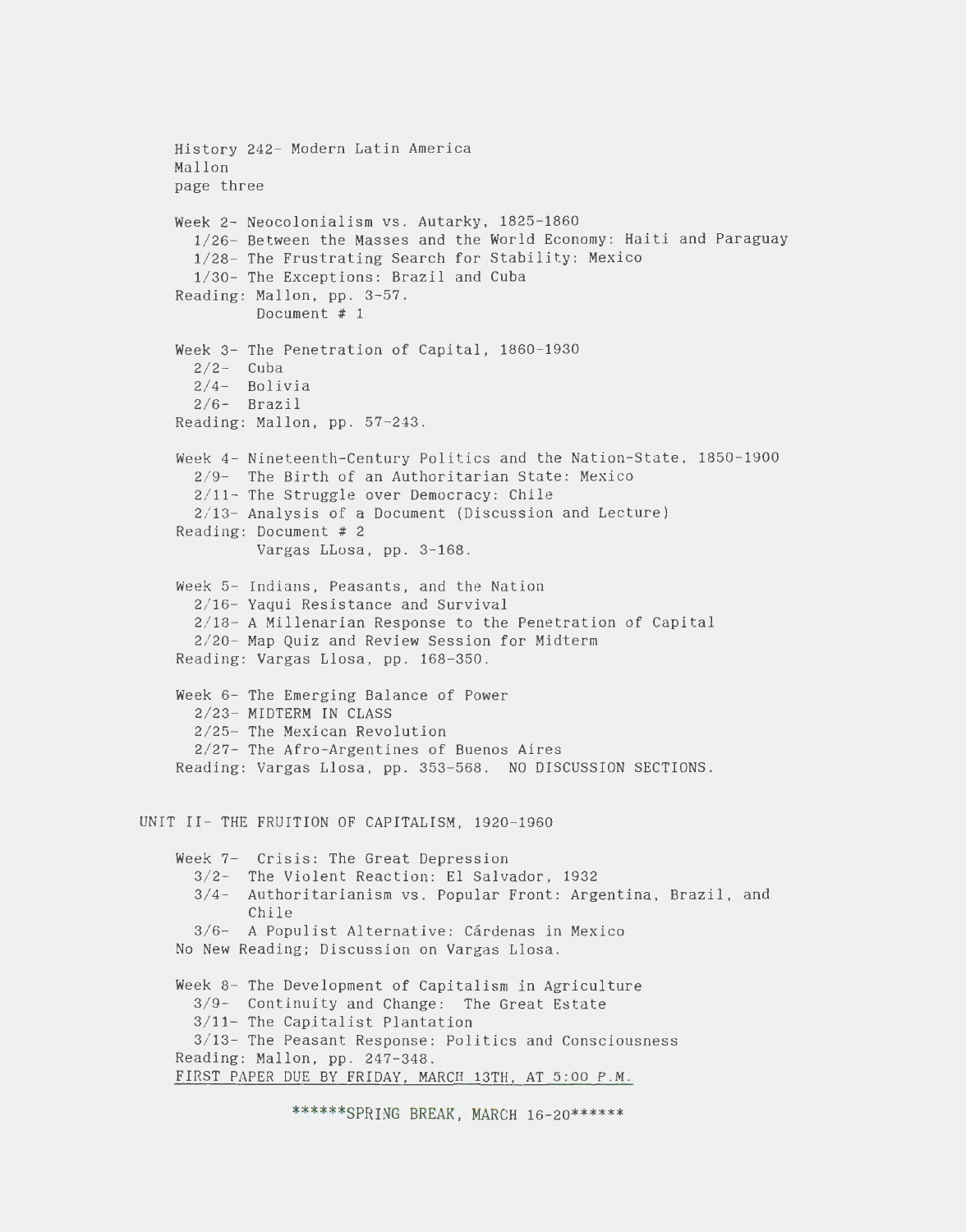```
History 242- Modern Latin America 
    Mallon 
    page three 
    Week 2- Neocolonialism vs. Autarky, 1825-1860 
      1/26- Between the Masses and the World Economy: Haiti and Paraguay 
      1/28- The Frustrating Search for Stability: Mexico 
      1/30- The Exceptions: Brazil and Cuba 
    Reading: Mallon, pp. 3-57. 
             Document # 1 
    Week 3- The Penetration of Capital, 1860-1930
      2/2- Cuba
      2/4- Bolivia
      2/6- Brazil
    Reading: Mallon, pp. 57-243. 
    Week 4- Nineteenth-Century Politics and the Nation-State, 1850-1900 
      2/ 9- The Birth of an Authoritarian State: Mexico 
      2/ 11- The Struggle over Democracy: Chile 
      2/ 13- Analysis of a Document (Discussion and Lecture) 
    Reading: Document # 2 
             Vargas LLosa, pp. 3-168. 
    Week 5- Indians, Peasants, and the Nation 
      2/ 16- Yaqui Resistance and Survival 
      2/ 18- A Millenarian Response to the Penetration of Capital 
      2/ 20- Map Quiz and Review Session for Midterm 
    Reading: Vargas Llosa, pp. 168-350 . 
    Week 6- The Emerging Balance of Power 
      2/23- MIDTERM IN CLASS
      2/ 25- The Mexican Revolution 
      2/ 27- The Afro-Argentines of Buenos Aires 
    Reading: Vargas Llosa, pp. 353-568. NO DISCUSSION SECTIONS. 
UNIT II- THE FRUITION OF CAPITALISM, 1920-1960 
    Week 7-
Crisis: The Great Depression 
      3/ 2-
The Violent Reaction: El Salvador, 1932 
      3/4- Authoritarianism vs. Popular Front: Argentina, Brazil, and
            Chile 
      3/6- A Populist Alternative: Cárdenas in Mexico
    No New Reading; Discussion on Vargas Llosa . 
    Week 8- The Development of Capitalism in Agriculture
      3/9- Continuity and Change: The Great Estate
      3/11- The Capitalist Plantation
      3/ 13- The Peasant Response: Politics and Consciousness 
    Reading: Mallon, pp. 247-348. 
    FIRST PAPER DUE BY FRIDAY, MARCH 13TH, AT 5:00 P.M .
```
\*\*\*\*\*\*SPRING BREAK, MARCH 16-20\*\*\*\*\*\*